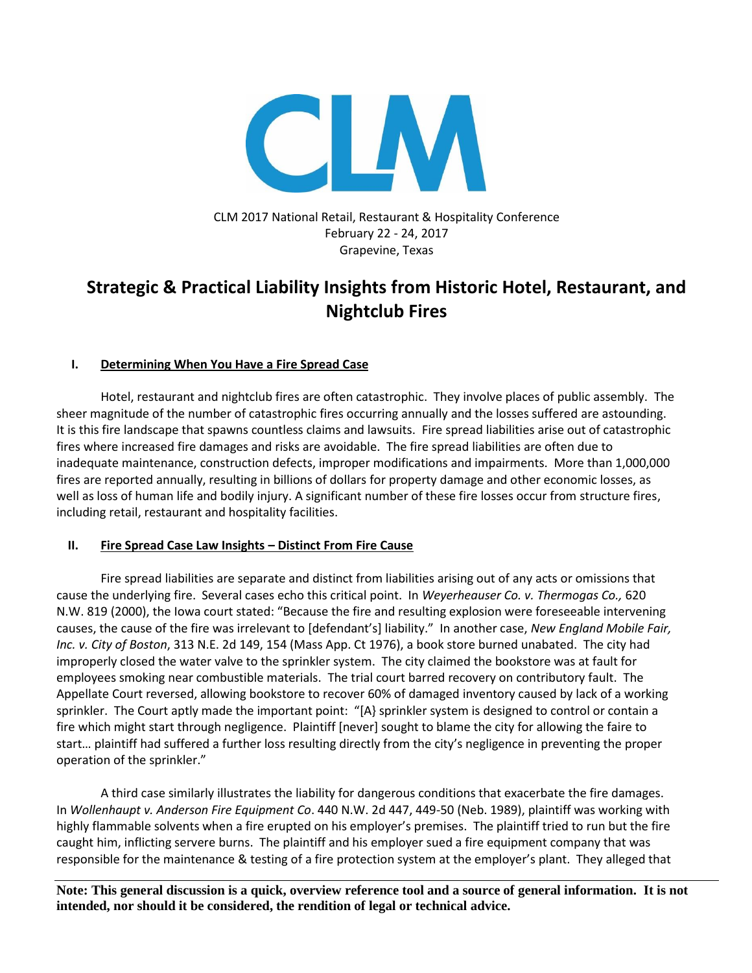

# CLM 2017 National Retail, Restaurant & Hospitality Conference February 22 - 24, 2017 Grapevine, Texas

# **Strategic & Practical Liability Insights from Historic Hotel, Restaurant, and Nightclub Fires**

# **I. Determining When You Have a Fire Spread Case**

Hotel, restaurant and nightclub fires are often catastrophic. They involve places of public assembly. The sheer magnitude of the number of catastrophic fires occurring annually and the losses suffered are astounding. It is this fire landscape that spawns countless claims and lawsuits. Fire spread liabilities arise out of catastrophic fires where increased fire damages and risks are avoidable. The fire spread liabilities are often due to inadequate maintenance, construction defects, improper modifications and impairments. More than 1,000,000 fires are reported annually, resulting in billions of dollars for property damage and other economic losses, as well as loss of human life and bodily injury. A significant number of these fire losses occur from structure fires, including retail, restaurant and hospitality facilities.

## **II. Fire Spread Case Law Insights – Distinct From Fire Cause**

Fire spread liabilities are separate and distinct from liabilities arising out of any acts or omissions that cause the underlying fire. Several cases echo this critical point. In *Weyerheauser Co. v. Thermogas Co.,* 620 N.W. 819 (2000), the Iowa court stated: "Because the fire and resulting explosion were foreseeable intervening causes, the cause of the fire was irrelevant to [defendant's] liability." In another case, *New England Mobile Fair, Inc. v. City of Boston*, 313 N.E. 2d 149, 154 (Mass App. Ct 1976), a book store burned unabated. The city had improperly closed the water valve to the sprinkler system. The city claimed the bookstore was at fault for employees smoking near combustible materials. The trial court barred recovery on contributory fault. The Appellate Court reversed, allowing bookstore to recover 60% of damaged inventory caused by lack of a working sprinkler. The Court aptly made the important point: "[A} sprinkler system is designed to control or contain a fire which might start through negligence. Plaintiff [never] sought to blame the city for allowing the faire to start… plaintiff had suffered a further loss resulting directly from the city's negligence in preventing the proper operation of the sprinkler."

A third case similarly illustrates the liability for dangerous conditions that exacerbate the fire damages. In *Wollenhaupt v. Anderson Fire Equipment Co*. 440 N.W. 2d 447, 449-50 (Neb. 1989), plaintiff was working with highly flammable solvents when a fire erupted on his employer's premises. The plaintiff tried to run but the fire caught him, inflicting servere burns. The plaintiff and his employer sued a fire equipment company that was responsible for the maintenance & testing of a fire protection system at the employer's plant. They alleged that

**Note: This general discussion is a quick, overview reference tool and a source of general information. It is not intended, nor should it be considered, the rendition of legal or technical advice.**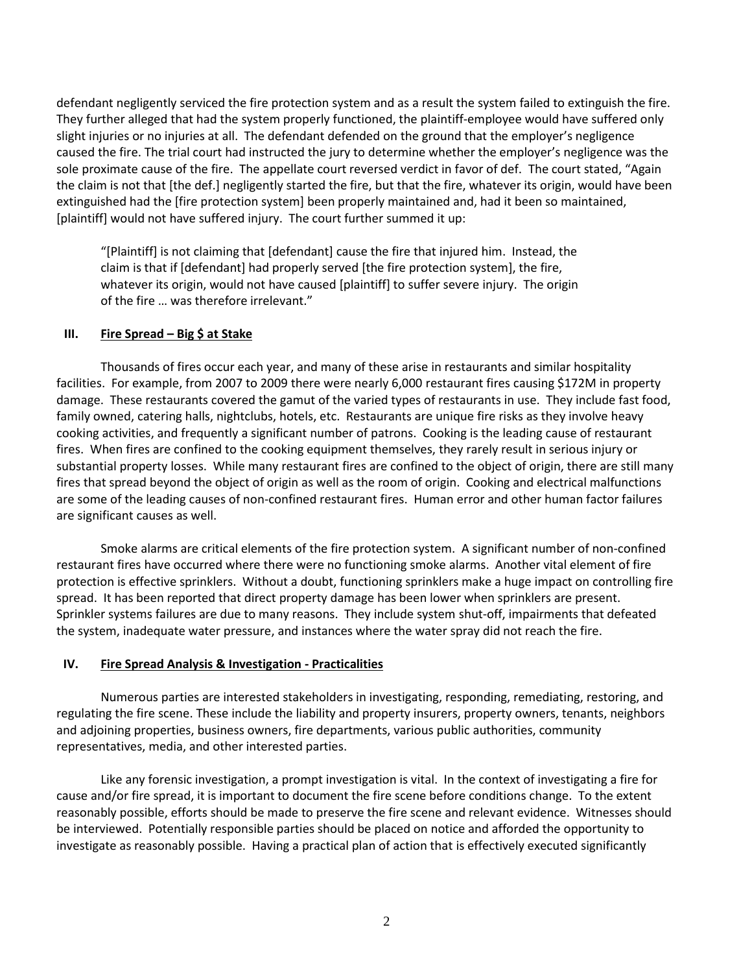defendant negligently serviced the fire protection system and as a result the system failed to extinguish the fire. They further alleged that had the system properly functioned, the plaintiff-employee would have suffered only slight injuries or no injuries at all. The defendant defended on the ground that the employer's negligence caused the fire. The trial court had instructed the jury to determine whether the employer's negligence was the sole proximate cause of the fire. The appellate court reversed verdict in favor of def. The court stated, "Again the claim is not that [the def.] negligently started the fire, but that the fire, whatever its origin, would have been extinguished had the [fire protection system] been properly maintained and, had it been so maintained, [plaintiff] would not have suffered injury. The court further summed it up:

"[Plaintiff] is not claiming that [defendant] cause the fire that injured him. Instead, the claim is that if [defendant] had properly served [the fire protection system], the fire, whatever its origin, would not have caused [plaintiff] to suffer severe injury. The origin of the fire … was therefore irrelevant."

## **III.** Fire Spread – Big \$ at Stake

Thousands of fires occur each year, and many of these arise in restaurants and similar hospitality facilities. For example, from 2007 to 2009 there were nearly 6,000 restaurant fires causing \$172M in property damage. These restaurants covered the gamut of the varied types of restaurants in use. They include fast food, family owned, catering halls, nightclubs, hotels, etc. Restaurants are unique fire risks as they involve heavy cooking activities, and frequently a significant number of patrons. Cooking is the leading cause of restaurant fires. When fires are confined to the cooking equipment themselves, they rarely result in serious injury or substantial property losses. While many restaurant fires are confined to the object of origin, there are still many fires that spread beyond the object of origin as well as the room of origin. Cooking and electrical malfunctions are some of the leading causes of non-confined restaurant fires. Human error and other human factor failures are significant causes as well.

Smoke alarms are critical elements of the fire protection system. A significant number of non-confined restaurant fires have occurred where there were no functioning smoke alarms. Another vital element of fire protection is effective sprinklers. Without a doubt, functioning sprinklers make a huge impact on controlling fire spread. It has been reported that direct property damage has been lower when sprinklers are present. Sprinkler systems failures are due to many reasons. They include system shut-off, impairments that defeated the system, inadequate water pressure, and instances where the water spray did not reach the fire.

## **IV. Fire Spread Analysis & Investigation - Practicalities**

Numerous parties are interested stakeholders in investigating, responding, remediating, restoring, and regulating the fire scene. These include the liability and property insurers, property owners, tenants, neighbors and adjoining properties, business owners, fire departments, various public authorities, community representatives, media, and other interested parties.

Like any forensic investigation, a prompt investigation is vital. In the context of investigating a fire for cause and/or fire spread, it is important to document the fire scene before conditions change. To the extent reasonably possible, efforts should be made to preserve the fire scene and relevant evidence. Witnesses should be interviewed. Potentially responsible parties should be placed on notice and afforded the opportunity to investigate as reasonably possible. Having a practical plan of action that is effectively executed significantly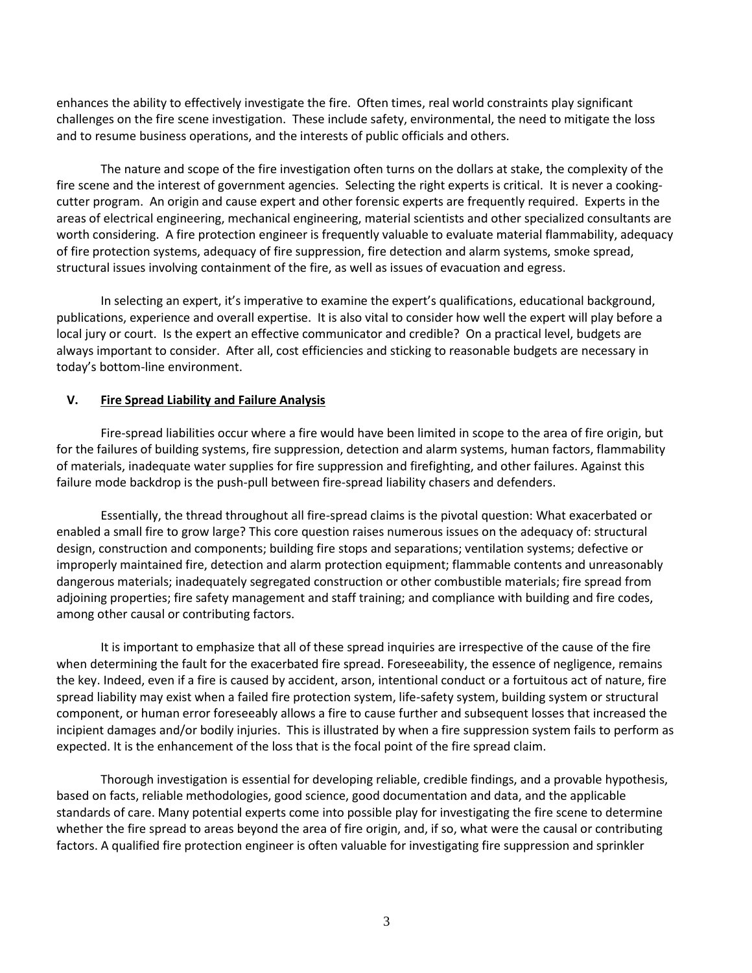enhances the ability to effectively investigate the fire. Often times, real world constraints play significant challenges on the fire scene investigation. These include safety, environmental, the need to mitigate the loss and to resume business operations, and the interests of public officials and others.

The nature and scope of the fire investigation often turns on the dollars at stake, the complexity of the fire scene and the interest of government agencies. Selecting the right experts is critical. It is never a cookingcutter program. An origin and cause expert and other forensic experts are frequently required. Experts in the areas of electrical engineering, mechanical engineering, material scientists and other specialized consultants are worth considering. A fire protection engineer is frequently valuable to evaluate material flammability, adequacy of fire protection systems, adequacy of fire suppression, fire detection and alarm systems, smoke spread, structural issues involving containment of the fire, as well as issues of evacuation and egress.

In selecting an expert, it's imperative to examine the expert's qualifications, educational background, publications, experience and overall expertise. It is also vital to consider how well the expert will play before a local jury or court. Is the expert an effective communicator and credible? On a practical level, budgets are always important to consider. After all, cost efficiencies and sticking to reasonable budgets are necessary in today's bottom-line environment.

#### **V. Fire Spread Liability and Failure Analysis**

Fire-spread liabilities occur where a fire would have been limited in scope to the area of fire origin, but for the failures of building systems, fire suppression, detection and alarm systems, human factors, flammability of materials, inadequate water supplies for fire suppression and firefighting, and other failures. Against this failure mode backdrop is the push-pull between fire-spread liability chasers and defenders.

Essentially, the thread throughout all fire-spread claims is the pivotal question: What exacerbated or enabled a small fire to grow large? This core question raises numerous issues on the adequacy of: structural design, construction and components; building fire stops and separations; ventilation systems; defective or improperly maintained fire, detection and alarm protection equipment; flammable contents and unreasonably dangerous materials; inadequately segregated construction or other combustible materials; fire spread from adjoining properties; fire safety management and staff training; and compliance with building and fire codes, among other causal or contributing factors.

It is important to emphasize that all of these spread inquiries are irrespective of the cause of the fire when determining the fault for the exacerbated fire spread. Foreseeability, the essence of negligence, remains the key. Indeed, even if a fire is caused by accident, arson, intentional conduct or a fortuitous act of nature, fire spread liability may exist when a failed fire protection system, life-safety system, building system or structural component, or human error foreseeably allows a fire to cause further and subsequent losses that increased the incipient damages and/or bodily injuries. This is illustrated by when a fire suppression system fails to perform as expected. It is the enhancement of the loss that is the focal point of the fire spread claim.

Thorough investigation is essential for developing reliable, credible findings, and a provable hypothesis, based on facts, reliable methodologies, good science, good documentation and data, and the applicable standards of care. Many potential experts come into possible play for investigating the fire scene to determine whether the fire spread to areas beyond the area of fire origin, and, if so, what were the causal or contributing factors. A qualified fire protection engineer is often valuable for investigating fire suppression and sprinkler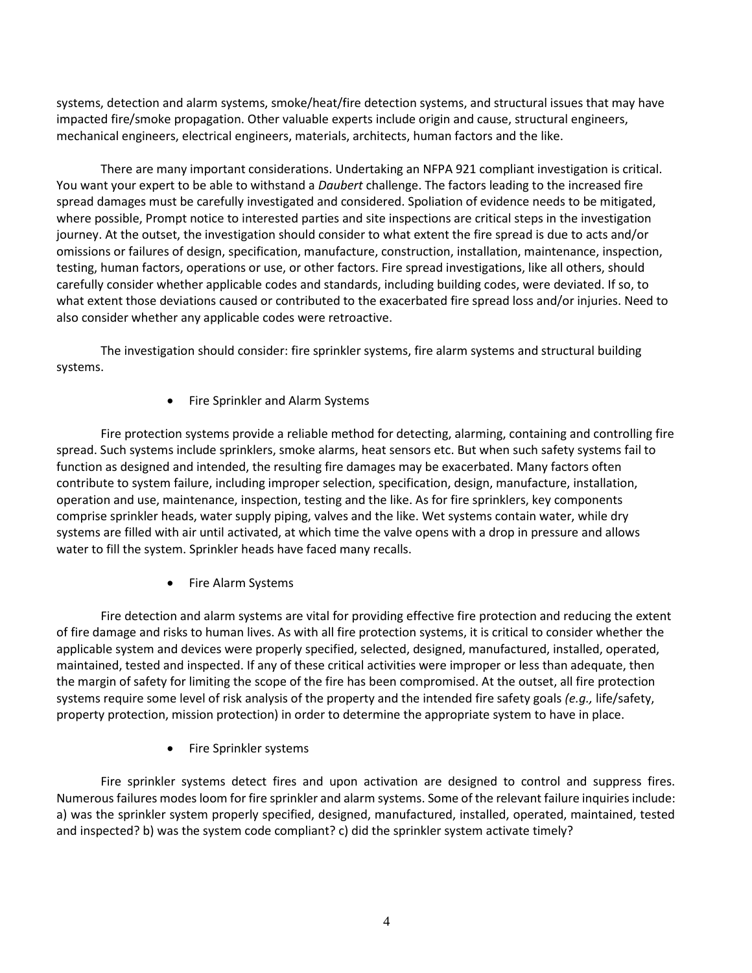systems, detection and alarm systems, smoke/heat/fire detection systems, and structural issues that may have impacted fire/smoke propagation. Other valuable experts include origin and cause, structural engineers, mechanical engineers, electrical engineers, materials, architects, human factors and the like.

There are many important considerations. Undertaking an NFPA 921 compliant investigation is critical. You want your expert to be able to withstand a *Daubert* challenge. The factors leading to the increased fire spread damages must be carefully investigated and considered. Spoliation of evidence needs to be mitigated, where possible, Prompt notice to interested parties and site inspections are critical steps in the investigation journey. At the outset, the investigation should consider to what extent the fire spread is due to acts and/or omissions or failures of design, specification, manufacture, construction, installation, maintenance, inspection, testing, human factors, operations or use, or other factors. Fire spread investigations, like all others, should carefully consider whether applicable codes and standards, including building codes, were deviated. If so, to what extent those deviations caused or contributed to the exacerbated fire spread loss and/or injuries. Need to also consider whether any applicable codes were retroactive.

The investigation should consider: fire sprinkler systems, fire alarm systems and structural building systems.

• Fire Sprinkler and Alarm Systems

Fire protection systems provide a reliable method for detecting, alarming, containing and controlling fire spread. Such systems include sprinklers, smoke alarms, heat sensors etc. But when such safety systems fail to function as designed and intended, the resulting fire damages may be exacerbated. Many factors often contribute to system failure, including improper selection, specification, design, manufacture, installation, operation and use, maintenance, inspection, testing and the like. As for fire sprinklers, key components comprise sprinkler heads, water supply piping, valves and the like. Wet systems contain water, while dry systems are filled with air until activated, at which time the valve opens with a drop in pressure and allows water to fill the system. Sprinkler heads have faced many recalls.

• Fire Alarm Systems

Fire detection and alarm systems are vital for providing effective fire protection and reducing the extent of fire damage and risks to human lives. As with all fire protection systems, it is critical to consider whether the applicable system and devices were properly specified, selected, designed, manufactured, installed, operated, maintained, tested and inspected. If any of these critical activities were improper or less than adequate, then the margin of safety for limiting the scope of the fire has been compromised. At the outset, all fire protection systems require some level of risk analysis of the property and the intended fire safety goals *(e.g.,* life/safety, property protection, mission protection) in order to determine the appropriate system to have in place.

Fire Sprinkler systems

Fire sprinkler systems detect fires and upon activation are designed to control and suppress fires. Numerous failures modes loom for fire sprinkler and alarm systems. Some of the relevant failure inquiries include: a) was the sprinkler system properly specified, designed, manufactured, installed, operated, maintained, tested and inspected? b) was the system code compliant? c) did the sprinkler system activate timely?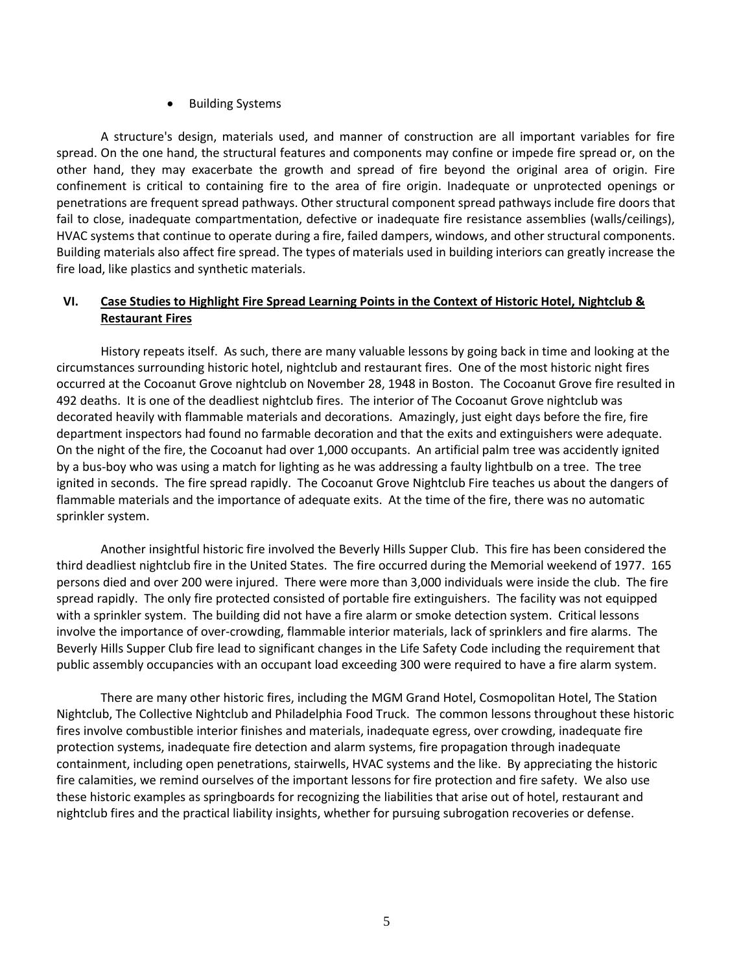## Building Systems

A structure's design, materials used, and manner of construction are all important variables for fire spread. On the one hand, the structural features and components may confine or impede fire spread or, on the other hand, they may exacerbate the growth and spread of fire beyond the original area of origin. Fire confinement is critical to containing fire to the area of fire origin. Inadequate or unprotected openings or penetrations are frequent spread pathways. Other structural component spread pathways include fire doors that fail to close, inadequate compartmentation, defective or inadequate fire resistance assemblies (walls/ceilings), HVAC systems that continue to operate during a fire, failed dampers, windows, and other structural components. Building materials also affect fire spread. The types of materials used in building interiors can greatly increase the fire load, like plastics and synthetic materials.

# **VI. Case Studies to Highlight Fire Spread Learning Points in the Context of Historic Hotel, Nightclub & Restaurant Fires**

History repeats itself. As such, there are many valuable lessons by going back in time and looking at the circumstances surrounding historic hotel, nightclub and restaurant fires. One of the most historic night fires occurred at the Cocoanut Grove nightclub on November 28, 1948 in Boston. The Cocoanut Grove fire resulted in 492 deaths. It is one of the deadliest nightclub fires. The interior of The Cocoanut Grove nightclub was decorated heavily with flammable materials and decorations. Amazingly, just eight days before the fire, fire department inspectors had found no farmable decoration and that the exits and extinguishers were adequate. On the night of the fire, the Cocoanut had over 1,000 occupants. An artificial palm tree was accidently ignited by a bus-boy who was using a match for lighting as he was addressing a faulty lightbulb on a tree. The tree ignited in seconds. The fire spread rapidly. The Cocoanut Grove Nightclub Fire teaches us about the dangers of flammable materials and the importance of adequate exits. At the time of the fire, there was no automatic sprinkler system.

Another insightful historic fire involved the Beverly Hills Supper Club. This fire has been considered the third deadliest nightclub fire in the United States. The fire occurred during the Memorial weekend of 1977. 165 persons died and over 200 were injured. There were more than 3,000 individuals were inside the club. The fire spread rapidly. The only fire protected consisted of portable fire extinguishers. The facility was not equipped with a sprinkler system. The building did not have a fire alarm or smoke detection system. Critical lessons involve the importance of over-crowding, flammable interior materials, lack of sprinklers and fire alarms. The Beverly Hills Supper Club fire lead to significant changes in the Life Safety Code including the requirement that public assembly occupancies with an occupant load exceeding 300 were required to have a fire alarm system.

There are many other historic fires, including the MGM Grand Hotel, Cosmopolitan Hotel, The Station Nightclub, The Collective Nightclub and Philadelphia Food Truck. The common lessons throughout these historic fires involve combustible interior finishes and materials, inadequate egress, over crowding, inadequate fire protection systems, inadequate fire detection and alarm systems, fire propagation through inadequate containment, including open penetrations, stairwells, HVAC systems and the like. By appreciating the historic fire calamities, we remind ourselves of the important lessons for fire protection and fire safety. We also use these historic examples as springboards for recognizing the liabilities that arise out of hotel, restaurant and nightclub fires and the practical liability insights, whether for pursuing subrogation recoveries or defense.